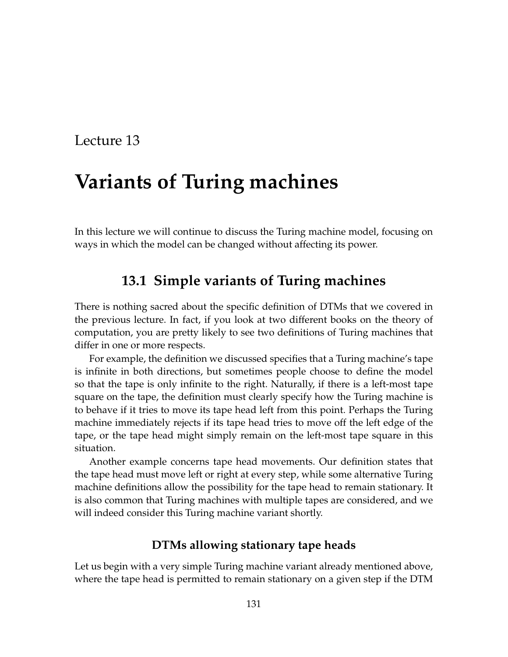## Lecture 13

# **Variants of Turing machines**

In this lecture we will continue to discuss the Turing machine model, focusing on ways in which the model can be changed without affecting its power.

### **13.1 Simple variants of Turing machines**

There is nothing sacred about the specific definition of DTMs that we covered in the previous lecture. In fact, if you look at two different books on the theory of computation, you are pretty likely to see two definitions of Turing machines that differ in one or more respects.

For example, the definition we discussed specifies that a Turing machine's tape is infinite in both directions, but sometimes people choose to define the model so that the tape is only infinite to the right. Naturally, if there is a left-most tape square on the tape, the definition must clearly specify how the Turing machine is to behave if it tries to move its tape head left from this point. Perhaps the Turing machine immediately rejects if its tape head tries to move off the left edge of the tape, or the tape head might simply remain on the left-most tape square in this situation.

Another example concerns tape head movements. Our definition states that the tape head must move left or right at every step, while some alternative Turing machine definitions allow the possibility for the tape head to remain stationary. It is also common that Turing machines with multiple tapes are considered, and we will indeed consider this Turing machine variant shortly.

#### **DTMs allowing stationary tape heads**

Let us begin with a very simple Turing machine variant already mentioned above, where the tape head is permitted to remain stationary on a given step if the DTM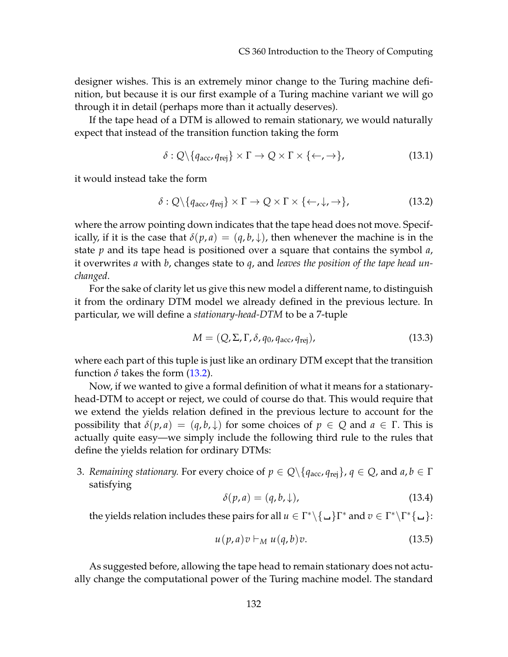designer wishes. This is an extremely minor change to the Turing machine definition, but because it is our first example of a Turing machine variant we will go through it in detail (perhaps more than it actually deserves).

If the tape head of a DTM is allowed to remain stationary, we would naturally expect that instead of the transition function taking the form

$$
\delta: Q \setminus \{q_{\text{acc}}, q_{\text{rej}}\} \times \Gamma \to Q \times \Gamma \times \{\leftarrow, \rightarrow\},\tag{13.1}
$$

it would instead take the form

<span id="page-1-0"></span>
$$
\delta: Q \setminus \{q_{\text{acc}}, q_{\text{rej}}\} \times \Gamma \to Q \times \Gamma \times \{\leftarrow, \downarrow, \rightarrow\},\tag{13.2}
$$

where the arrow pointing down indicates that the tape head does not move. Specifically, if it is the case that  $\delta(p, a) = (q, b, \downarrow)$ , then whenever the machine is in the state *p* and its tape head is positioned over a square that contains the symbol *a*, it overwrites *a* with *b*, changes state to *q*, and *leaves the position of the tape head unchanged*.

For the sake of clarity let us give this new model a different name, to distinguish it from the ordinary DTM model we already defined in the previous lecture. In particular, we will define a *stationary-head-DTM* to be a 7-tuple

$$
M = (Q, \Sigma, \Gamma, \delta, q_0, q_{\text{acc}}, q_{\text{rej}}), \qquad (13.3)
$$

where each part of this tuple is just like an ordinary DTM except that the transition function  $\delta$  takes the form [\(13.2\)](#page-1-0).

Now, if we wanted to give a formal definition of what it means for a stationaryhead-DTM to accept or reject, we could of course do that. This would require that we extend the yields relation defined in the previous lecture to account for the possibility that  $\delta(p, a) = (q, b, \downarrow)$  for some choices of  $p \in Q$  and  $a \in \Gamma$ . This is actually quite easy—we simply include the following third rule to the rules that define the yields relation for ordinary DTMs:

3. *Remaining stationary.* For every choice of  $p \in Q \setminus \{q_{\text{acc}}, q_{\text{rej}}\}, q \in Q$ , and  $a, b \in \Gamma$ satisfying

$$
\delta(p, a) = (q, b, \downarrow), \tag{13.4}
$$

the yields relation includes these pairs for all  $u \in \Gamma^* \setminus \{\_\} \Gamma^*$  and  $v \in \Gamma^* \setminus \Gamma^* \{\_\_\}$ :

$$
u(p,a)v \vdash_M u(q,b)v. \tag{13.5}
$$

As suggested before, allowing the tape head to remain stationary does not actually change the computational power of the Turing machine model. The standard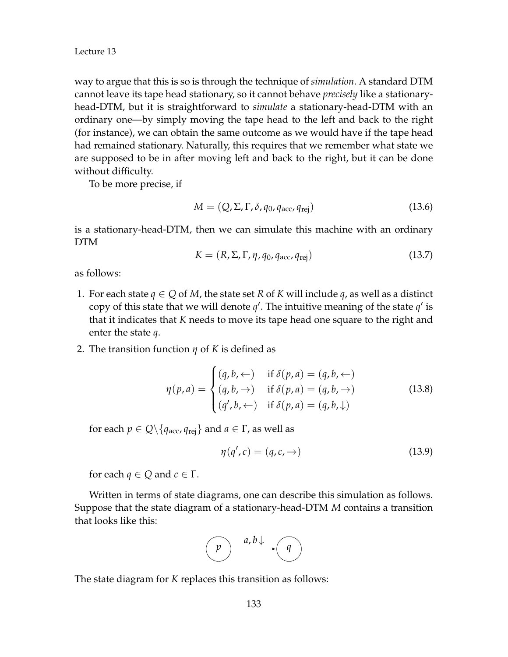way to argue that this is so is through the technique of *simulation*. A standard DTM cannot leave its tape head stationary, so it cannot behave *precisely* like a stationaryhead-DTM, but it is straightforward to *simulate* a stationary-head-DTM with an ordinary one—by simply moving the tape head to the left and back to the right (for instance), we can obtain the same outcome as we would have if the tape head had remained stationary. Naturally, this requires that we remember what state we are supposed to be in after moving left and back to the right, but it can be done without difficulty.

To be more precise, if

$$
M = (Q, \Sigma, \Gamma, \delta, q_0, q_{\text{acc}}, q_{\text{rej}})
$$
\n(13.6)

is a stationary-head-DTM, then we can simulate this machine with an ordinary DTM

$$
K = (R, \Sigma, \Gamma, \eta, q_0, q_{\text{acc}}, q_{\text{rej}})
$$
\n(13.7)

as follows:

- 1. For each state  $q \in Q$  of *M*, the state set *R* of *K* will include *q*, as well as a distinct copy of this state that we will denote  $q'$ . The intuitive meaning of the state  $q'$  is that it indicates that *K* needs to move its tape head one square to the right and enter the state *q*.
- 2. The transition function *η* of *K* is defined as

$$
\eta(p,a) = \begin{cases} (q,b,\leftarrow) & \text{if } \delta(p,a) = (q,b,\leftarrow) \\ (q,b,\rightarrow) & \text{if } \delta(p,a) = (q,b,\rightarrow) \\ (q',b,\leftarrow) & \text{if } \delta(p,a) = (q,b,\downarrow) \end{cases}
$$
(13.8)

for each  $p \in Q \setminus \{q_{\text{acc}}, q_{\text{rei}}\}$  and  $a \in \Gamma$ , as well as

$$
\eta(q',c) = (q,c,\rightarrow) \tag{13.9}
$$

for each  $q \in Q$  and  $c \in \Gamma$ .

Written in terms of state diagrams, one can describe this simulation as follows. Suppose that the state diagram of a stationary-head-DTM *M* contains a transition that looks like this:



The state diagram for *K* replaces this transition as follows: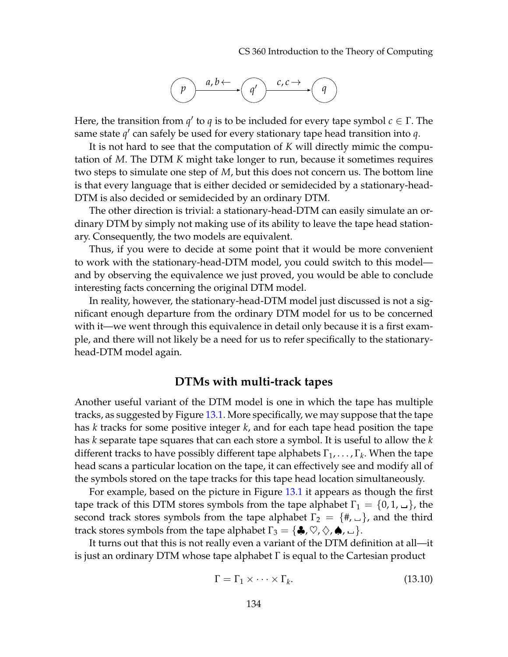CS 360 Introduction to the Theory of Computing



Here, the transition from  $q'$  to  $q$  is to be included for every tape symbol  $c \in \Gamma$ . The same state  $q'$  can safely be used for every stationary tape head transition into  $q$ .

It is not hard to see that the computation of *K* will directly mimic the computation of *M*. The DTM *K* might take longer to run, because it sometimes requires two steps to simulate one step of *M*, but this does not concern us. The bottom line is that every language that is either decided or semidecided by a stationary-head-DTM is also decided or semidecided by an ordinary DTM.

The other direction is trivial: a stationary-head-DTM can easily simulate an ordinary DTM by simply not making use of its ability to leave the tape head stationary. Consequently, the two models are equivalent.

Thus, if you were to decide at some point that it would be more convenient to work with the stationary-head-DTM model, you could switch to this model and by observing the equivalence we just proved, you would be able to conclude interesting facts concerning the original DTM model.

In reality, however, the stationary-head-DTM model just discussed is not a significant enough departure from the ordinary DTM model for us to be concerned with it—we went through this equivalence in detail only because it is a first example, and there will not likely be a need for us to refer specifically to the stationaryhead-DTM model again.

#### **DTMs with multi-track tapes**

Another useful variant of the DTM model is one in which the tape has multiple tracks, as suggested by Figure [13.1.](#page-4-0) More specifically, we may suppose that the tape has *k* tracks for some positive integer *k*, and for each tape head position the tape has *k* separate tape squares that can each store a symbol. It is useful to allow the *k* different tracks to have possibly different tape alphabets  $\Gamma_1,\ldots,\Gamma_k$ . When the tape head scans a particular location on the tape, it can effectively see and modify all of the symbols stored on the tape tracks for this tape head location simultaneously.

For example, based on the picture in Figure [13.1](#page-4-0) it appears as though the first tape track of this DTM stores symbols from the tape alphabet  $\Gamma_1 = \{0, 1, \ldots\}$ , the second track stores symbols from the tape alphabet  $\Gamma_2 = \{ \# , \Box \}$ , and the third track stores symbols from the tape alphabet  $\Gamma_3 = \{ \clubsuit, \heartsuit, \diamondsuit, \spadesuit, \square \}.$ 

It turns out that this is not really even a variant of the DTM definition at all—it is just an ordinary DTM whose tape alphabet Γ is equal to the Cartesian product

$$
\Gamma = \Gamma_1 \times \cdots \times \Gamma_k. \tag{13.10}
$$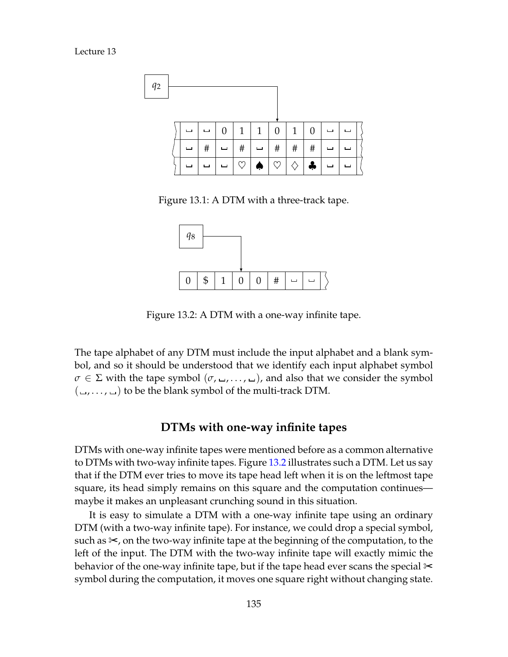Lecture 13



Figure 13.1: A DTM with a three-track tape.

<span id="page-4-0"></span>

<span id="page-4-1"></span>Figure 13.2: A DTM with a one-way infinite tape.

The tape alphabet of any DTM must include the input alphabet and a blank symbol, and so it should be understood that we identify each input alphabet symbol *σ* ∈ Σ with the tape symbol (*σ*, →, ⋅ ⋅ ⋅, →), and also that we consider the symbol  $(\square, \dots, \square)$  to be the blank symbol of the multi-track DTM.

#### **DTMs with one-way infinite tapes**

DTMs with one-way infinite tapes were mentioned before as a common alternative to DTMs with two-way infinite tapes. Figure [13.2](#page-4-1) illustrates such a DTM. Let us say that if the DTM ever tries to move its tape head left when it is on the leftmost tape square, its head simply remains on this square and the computation continues maybe it makes an unpleasant crunching sound in this situation.

It is easy to simulate a DTM with a one-way infinite tape using an ordinary DTM (with a two-way infinite tape). For instance, we could drop a special symbol, such as ✂, on the two-way infinite tape at the beginning of the computation, to the left of the input. The DTM with the two-way infinite tape will exactly mimic the behavior of the one-way infinite tape, but if the tape head ever scans the special  $\approx$ symbol during the computation, it moves one square right without changing state.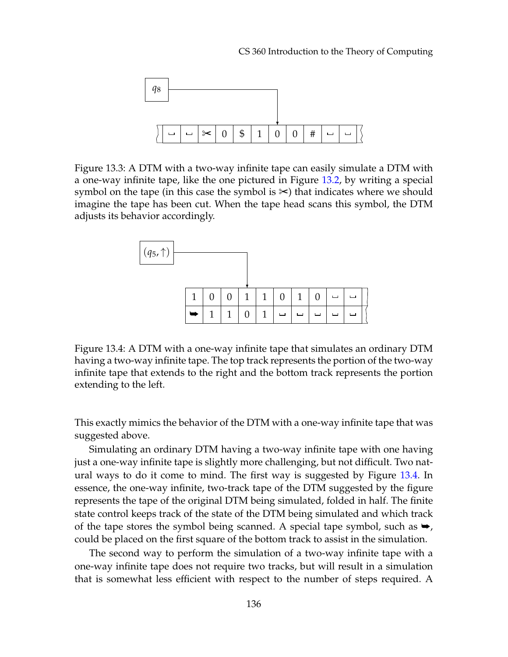

Figure 13.3: A DTM with a two-way infinite tape can easily simulate a DTM with a one-way infinite tape, like the one pictured in Figure [13.2,](#page-4-1) by writing a special symbol on the tape (in this case the symbol is ✂) that indicates where we should imagine the tape has been cut. When the tape head scans this symbol, the DTM adjusts its behavior accordingly.



<span id="page-5-0"></span>Figure 13.4: A DTM with a one-way infinite tape that simulates an ordinary DTM having a two-way infinite tape. The top track represents the portion of the two-way infinite tape that extends to the right and the bottom track represents the portion extending to the left.

This exactly mimics the behavior of the DTM with a one-way infinite tape that was suggested above.

Simulating an ordinary DTM having a two-way infinite tape with one having just a one-way infinite tape is slightly more challenging, but not difficult. Two natural ways to do it come to mind. The first way is suggested by Figure [13.4.](#page-5-0) In essence, the one-way infinite, two-track tape of the DTM suggested by the figure represents the tape of the original DTM being simulated, folded in half. The finite state control keeps track of the state of the DTM being simulated and which track of the tape stores the symbol being scanned. A special tape symbol, such as  $\rightarrow$ , could be placed on the first square of the bottom track to assist in the simulation.

The second way to perform the simulation of a two-way infinite tape with a one-way infinite tape does not require two tracks, but will result in a simulation that is somewhat less efficient with respect to the number of steps required. A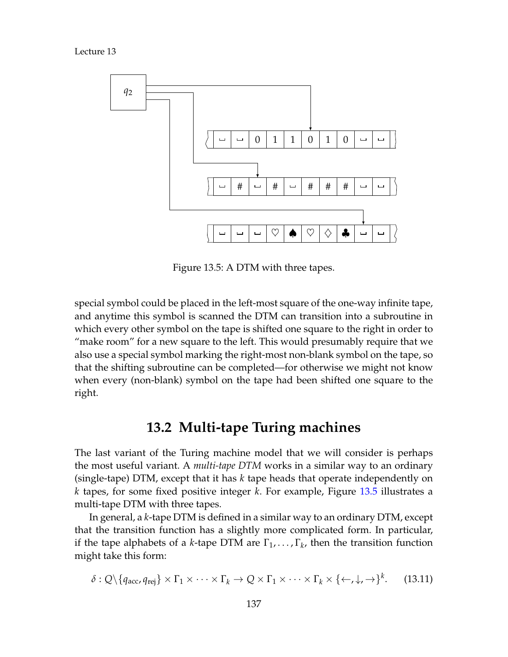Lecture 13



<span id="page-6-0"></span>Figure 13.5: A DTM with three tapes.

special symbol could be placed in the left-most square of the one-way infinite tape, and anytime this symbol is scanned the DTM can transition into a subroutine in which every other symbol on the tape is shifted one square to the right in order to "make room" for a new square to the left. This would presumably require that we also use a special symbol marking the right-most non-blank symbol on the tape, so that the shifting subroutine can be completed—for otherwise we might not know when every (non-blank) symbol on the tape had been shifted one square to the right.

## **13.2 Multi-tape Turing machines**

The last variant of the Turing machine model that we will consider is perhaps the most useful variant. A *multi-tape DTM* works in a similar way to an ordinary (single-tape) DTM, except that it has *k* tape heads that operate independently on *k* tapes, for some fixed positive integer *k*. For example, Figure [13.5](#page-6-0) illustrates a multi-tape DTM with three tapes.

In general, a *k*-tape DTM is defined in a similar way to an ordinary DTM, except that the transition function has a slightly more complicated form. In particular, if the tape alphabets of a *k*-tape DTM are  $\Gamma_1, \ldots, \Gamma_k$ , then the transition function might take this form:

$$
\delta: Q \setminus \{q_{\text{acc}}, q_{\text{rej}}\} \times \Gamma_1 \times \cdots \times \Gamma_k \to Q \times \Gamma_1 \times \cdots \times \Gamma_k \times \{\leftarrow, \downarrow, \rightarrow\}^k. \tag{13.11}
$$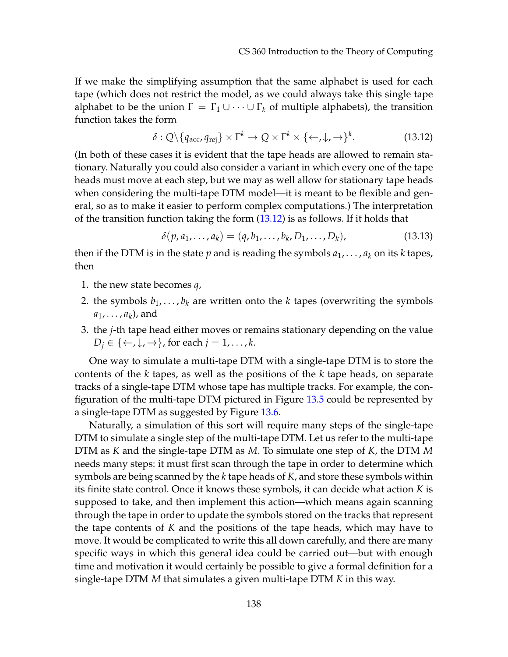If we make the simplifying assumption that the same alphabet is used for each tape (which does not restrict the model, as we could always take this single tape alphabet to be the union  $\Gamma = \Gamma_1 \cup \cdots \cup \Gamma_k$  of multiple alphabets), the transition function takes the form

<span id="page-7-0"></span>
$$
\delta: Q \setminus \{q_{\text{acc}}, q_{\text{rej}}\} \times \Gamma^k \to Q \times \Gamma^k \times \{\leftarrow, \downarrow, \rightarrow\}^k. \tag{13.12}
$$

(In both of these cases it is evident that the tape heads are allowed to remain stationary. Naturally you could also consider a variant in which every one of the tape heads must move at each step, but we may as well allow for stationary tape heads when considering the multi-tape DTM model—it is meant to be flexible and general, so as to make it easier to perform complex computations.) The interpretation of the transition function taking the form [\(13.12\)](#page-7-0) is as follows. If it holds that

$$
\delta(p, a_1, \dots, a_k) = (q, b_1, \dots, b_k, D_1, \dots, D_k),
$$
\n(13.13)

then if the DTM is in the state  $p$  and is reading the symbols  $a_1, \ldots, a_k$  on its  $k$  tapes, then

- 1. the new state becomes *q*,
- 2. the symbols  $b_1, \ldots, b_k$  are written onto the *k* tapes (overwriting the symbols  $a_1, \ldots, a_k$ ), and
- 3. the *j*-th tape head either moves or remains stationary depending on the value  $D_i \in \{ \leftarrow, \downarrow, \rightarrow \}$ , for each  $j = 1, \ldots, k$ .

One way to simulate a multi-tape DTM with a single-tape DTM is to store the contents of the *k* tapes, as well as the positions of the *k* tape heads, on separate tracks of a single-tape DTM whose tape has multiple tracks. For example, the configuration of the multi-tape DTM pictured in Figure [13.5](#page-6-0) could be represented by a single-tape DTM as suggested by Figure [13.6.](#page-8-0)

Naturally, a simulation of this sort will require many steps of the single-tape DTM to simulate a single step of the multi-tape DTM. Let us refer to the multi-tape DTM as *K* and the single-tape DTM as *M*. To simulate one step of *K*, the DTM *M* needs many steps: it must first scan through the tape in order to determine which symbols are being scanned by the *k* tape heads of *K*, and store these symbols within its finite state control. Once it knows these symbols, it can decide what action *K* is supposed to take, and then implement this action—which means again scanning through the tape in order to update the symbols stored on the tracks that represent the tape contents of *K* and the positions of the tape heads, which may have to move. It would be complicated to write this all down carefully, and there are many specific ways in which this general idea could be carried out—but with enough time and motivation it would certainly be possible to give a formal definition for a single-tape DTM *M* that simulates a given multi-tape DTM *K* in this way.